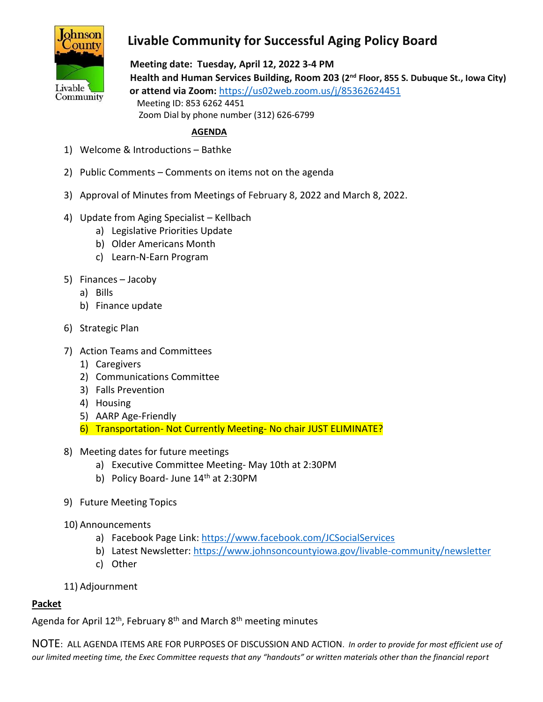

## **Livable Community for Successful Aging Policy Board**

 **Meeting date: Tuesday, April 12, 2022 3-4 PM Health and Human Services Building, Room 203 (2nd Floor, 855 S. Dubuque St., Iowa City) or attend via Zoom:** <https://us02web.zoom.us/j/85362624451> Meeting ID: 853 6262 4451 Zoom Dial by phone number (312) 626-6799

## **AGENDA**

- 1) Welcome & Introductions Bathke
- 2) Public Comments Comments on items not on the agenda
- 3) Approval of Minutes from Meetings of February 8, 2022 and March 8, 2022.
- 4) Update from Aging Specialist Kellbach
	- a) Legislative Priorities Update
	- b) Older Americans Month
	- c) Learn-N-Earn Program
- 5) Finances Jacoby
	- a) Bills
	- b) Finance update
- 6) Strategic Plan
- 7) Action Teams and Committees
	- 1) Caregivers
	- 2) Communications Committee
	- 3) Falls Prevention
	- 4) Housing
	- 5) AARP Age-Friendly
	- 6) Transportation- Not Currently Meeting- No chair JUST ELIMINATE?
- 8) Meeting dates for future meetings
	- a) Executive Committee Meeting- May 10th at 2:30PM
	- b) Policy Board- June  $14<sup>th</sup>$  at 2:30PM
- 9) Future Meeting Topics
- 10) Announcements
	- a) Facebook Page Link:<https://www.facebook.com/JCSocialServices>
	- b) Latest Newsletter: <https://www.johnsoncountyiowa.gov/livable-community/newsletter>
	- c) Other
- 11) Adjournment

## **Packet**

Agenda for April 12<sup>th</sup>, February 8<sup>th</sup> and March 8<sup>th</sup> meeting minutes

NOTE: ALL AGENDA ITEMS ARE FOR PURPOSES OF DISCUSSION AND ACTION. *In order to provide for most efficient use of our limited meeting time, the Exec Committee requests that any "handouts" or written materials other than the financial report*